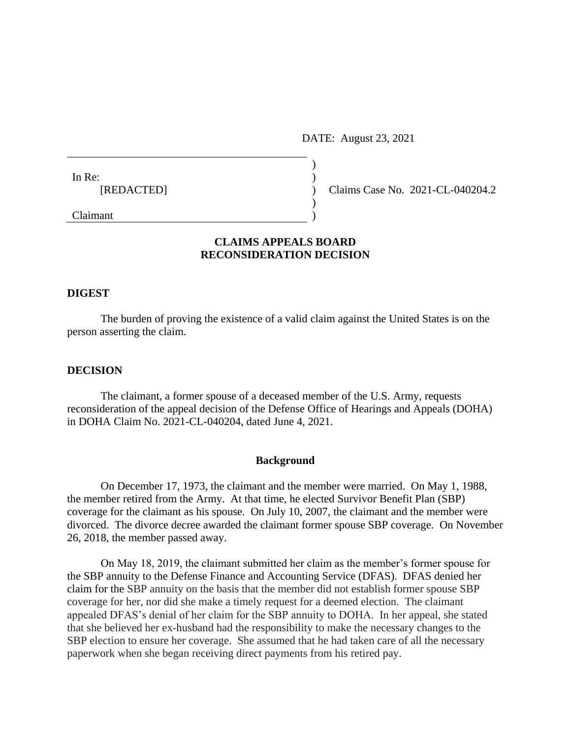DATE: August 23, 2021

| In Re:     |  |                                  |
|------------|--|----------------------------------|
| [REDACTED] |  | Claims Case No. 2021-CL-040204.2 |
|            |  |                                  |
| Claimant   |  |                                  |

# **CLAIMS APPEALS BOARD RECONSIDERATION DECISION**

### **DIGEST**

The burden of proving the existence of a valid claim against the United States is on the person asserting the claim.

### **DECISION**

The claimant, a former spouse of a deceased member of the U.S. Army, requests reconsideration of the appeal decision of the Defense Office of Hearings and Appeals (DOHA) in DOHA Claim No. 2021-CL-040204, dated June 4, 2021.

#### **Background**

On December 17, 1973, the claimant and the member were married. On May 1, 1988, the member retired from the Army. At that time, he elected Survivor Benefit Plan (SBP) coverage for the claimant as his spouse. On July 10, 2007, the claimant and the member were divorced. The divorce decree awarded the claimant former spouse SBP coverage. On November 26, 2018, the member passed away.

On May 18, 2019, the claimant submitted her claim as the member's former spouse for the SBP annuity to the Defense Finance and Accounting Service (DFAS). DFAS denied her claim for the SBP annuity on the basis that the member did not establish former spouse SBP coverage for her, nor did she make a timely request for a deemed election. The claimant appealed DFAS's denial of her claim for the SBP annuity to DOHA. In her appeal, she stated that she believed her ex-husband had the responsibility to make the necessary changes to the SBP election to ensure her coverage. She assumed that he had taken care of all the necessary paperwork when she began receiving direct payments from his retired pay.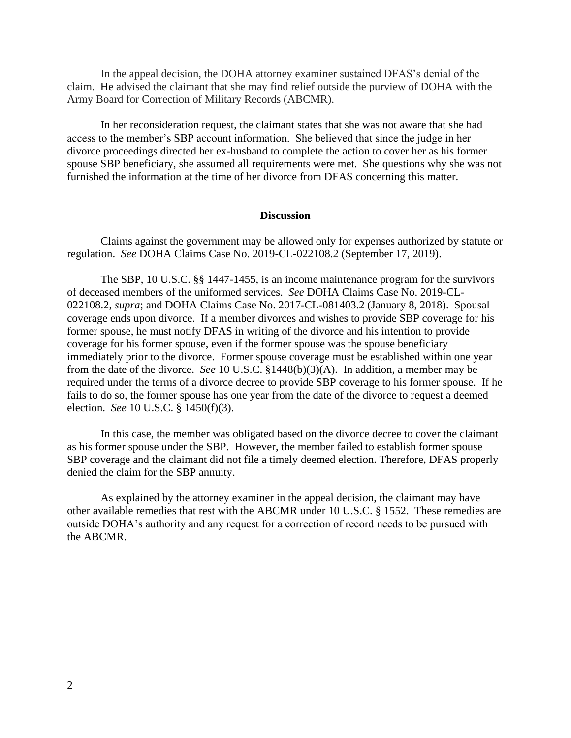In the appeal decision, the DOHA attorney examiner sustained DFAS's denial of the claim. He advised the claimant that she may find relief outside the purview of DOHA with the Army Board for Correction of Military Records (ABCMR).

In her reconsideration request, the claimant states that she was not aware that she had access to the member's SBP account information. She believed that since the judge in her divorce proceedings directed her ex-husband to complete the action to cover her as his former spouse SBP beneficiary, she assumed all requirements were met. She questions why she was not furnished the information at the time of her divorce from DFAS concerning this matter.

## **Discussion**

Claims against the government may be allowed only for expenses authorized by statute or regulation. *See* DOHA Claims Case No. 2019-CL-022108.2 (September 17, 2019).

The SBP, 10 U.S.C. §§ 1447-1455, is an income maintenance program for the survivors of deceased members of the uniformed services. *See* DOHA Claims Case No. 2019-CL-022108.2, *supra*; and DOHA Claims Case No. 2017-CL-081403.2 (January 8, 2018). Spousal coverage ends upon divorce. If a member divorces and wishes to provide SBP coverage for his former spouse, he must notify DFAS in writing of the divorce and his intention to provide coverage for his former spouse, even if the former spouse was the spouse beneficiary immediately prior to the divorce. Former spouse coverage must be established within one year from the date of the divorce. *See* 10 U.S.C. §1448(b)(3)(A). In addition, a member may be required under the terms of a divorce decree to provide SBP coverage to his former spouse. If he fails to do so, the former spouse has one year from the date of the divorce to request a deemed election. *See* 10 U.S.C. § 1450(f)(3).

In this case, the member was obligated based on the divorce decree to cover the claimant as his former spouse under the SBP. However, the member failed to establish former spouse SBP coverage and the claimant did not file a timely deemed election. Therefore, DFAS properly denied the claim for the SBP annuity.

As explained by the attorney examiner in the appeal decision, the claimant may have other available remedies that rest with the ABCMR under 10 U.S.C. § 1552. These remedies are outside DOHA's authority and any request for a correction of record needs to be pursued with the ABCMR.